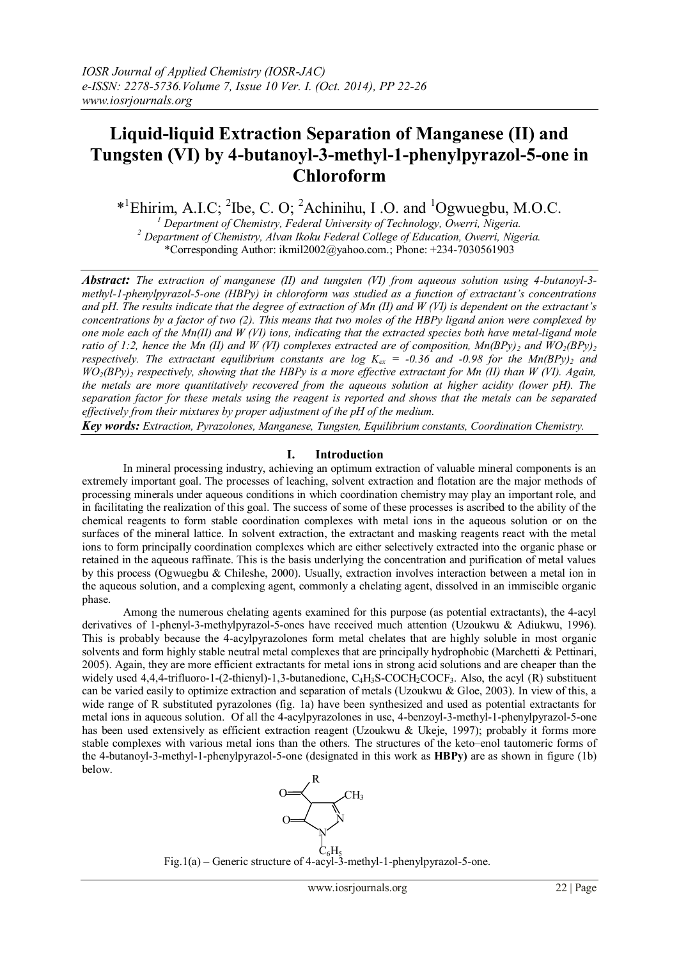# **Liquid-liquid Extraction Separation of Manganese (II) and Tungsten (VI) by 4-butanoyl-3-methyl-1-phenylpyrazol-5-one in Chloroform**

 $*$ <sup>1</sup>Ehirim, A.I.C; <sup>2</sup>Ibe, C. O; <sup>2</sup>Achinihu, I.O. and <sup>1</sup>Ogwuegbu, M.O.C.

*<sup>1</sup> Department of Chemistry, Federal University of Technology, Owerri, Nigeria. <sup>2</sup> Department of Chemistry, Alvan Ikoku Federal College of Education, Owerri, Nigeria.* \*Corresponding Author: ikmil2002@yahoo.com.; Phone: +234-7030561903

*Abstract: The extraction of manganese (II) and tungsten (VI) from aqueous solution using 4-butanoyl-3 methyl-1-phenylpyrazol-5-one (HBPy) in chloroform was studied as a function of extractant's concentrations and pH. The results indicate that the degree of extraction of Mn (II) and W (VI) is dependent on the extractant's concentrations by a factor of two (2). This means that two moles of the HBPy ligand anion were complexed by one mole each of the Mn(II) and W (VI) ions, indicating that the extracted species both have metal-ligand mole ratio of 1:2, hence the Mn (II) and W (VI) complexes extracted are of composition,*  $Mn(BPy)$ *<sub>2</sub> and*  $WO_2(BPy)$ *<sub>2</sub> respectively. The extractant equilibrium constants are log*  $K_{ex}$  *= -0.36 and -0.98 for the Mn(BPy)<sub>2</sub> and WO2(BPy)<sup>2</sup> respectively, showing that the HBPy is a more effective extractant for Mn (II) than W (VI). Again, the metals are more quantitatively recovered from the aqueous solution at higher acidity (lower pH). The separation factor for these metals using the reagent is reported and shows that the metals can be separated effectively from their mixtures by proper adjustment of the pH of the medium.*

*Key words: Extraction, Pyrazolones, Manganese, Tungsten, Equilibrium constants, Coordination Chemistry.*

# **I. Introduction**

In mineral processing industry, achieving an optimum extraction of valuable mineral components is an extremely important goal. The processes of leaching, solvent extraction and flotation are the major methods of processing minerals under aqueous conditions in which coordination chemistry may play an important role, and in facilitating the realization of this goal. The success of some of these processes is ascribed to the ability of the chemical reagents to form stable coordination complexes with metal ions in the aqueous solution or on the surfaces of the mineral lattice. In solvent extraction, the extractant and masking reagents react with the metal ions to form principally coordination complexes which are either selectively extracted into the organic phase or retained in the aqueous raffinate. This is the basis underlying the concentration and purification of metal values by this process (Ogwuegbu & Chileshe, 2000). Usually, extraction involves interaction between a metal ion in the aqueous solution, and a complexing agent, commonly a chelating agent, dissolved in an immiscible organic phase.

Among the numerous chelating agents examined for this purpose (as potential extractants), the 4-acyl derivatives of 1-phenyl-3-methylpyrazol-5-ones have received much attention (Uzoukwu & Adiukwu, 1996). This is probably because the 4-acylpyrazolones form metal chelates that are highly soluble in most organic solvents and form highly stable neutral metal complexes that are principally hydrophobic (Marchetti & Pettinari, 2005). Again, they are more efficient extractants for metal ions in strong acid solutions and are cheaper than the widely used 4,4,4-trifluoro-1-(2-thienyl)-1,3-butanedione, C<sub>4</sub>H<sub>3</sub>S-COCH<sub>2</sub>COCF<sub>3</sub>. Also, the acyl (R) substituent can be varied easily to optimize extraction and separation of metals (Uzoukwu & Gloe, 2003). In view of this, a wide range of R substituted pyrazolones (fig. 1a) have been synthesized and used as potential extractants for metal ions in aqueous solution. Of all the 4-acylpyrazolones in use, 4-benzoyl-3-methyl-1-phenylpyrazol-5-one has been used extensively as efficient extraction reagent (Uzoukwu & Ukeje, 1997); probably it forms more stable complexes with various metal ions than the others. The structures of the keto–enol tautomeric forms of the 4-butanoyl-3-methyl-1-phenylpyrazol-5-one (designated in this work as **HBPy)** are as shown in figure (1b) below.



Fig.1(a) **–** Generic structure of 4-acyl-3-methyl-1-phenylpyrazol-5-one.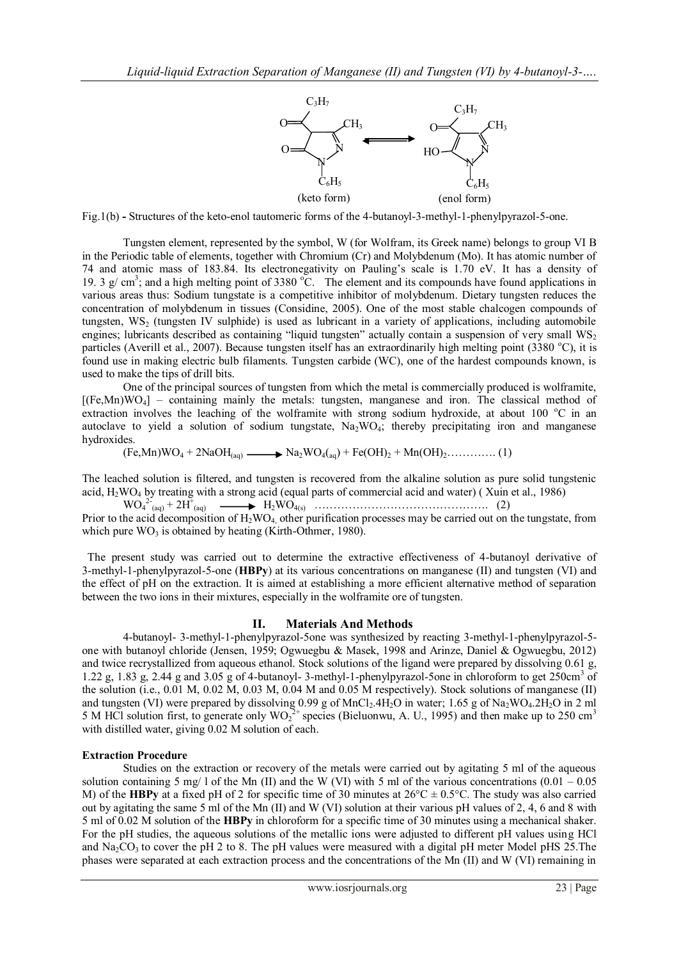

Fig.1(b) **-** Structures of the keto-enol tautomeric forms of the 4-butanoyl-3-methyl-1-phenylpyrazol-5-one.

Tungsten element, represented by the symbol, W (for Wolfram, its Greek name) belongs to group VI B in the Periodic table of elements, together with Chromium (Cr) and Molybdenum (Mo). It has atomic number of 74 and atomic mass of 183.84. Its electronegativity on Pauling's scale is 1.70 eV. It has a density of 19. 3  $g/cm^3$ ; and a high melting point of 3380 °C. The element and its compounds have found applications in various areas thus: Sodium tungstate is a competitive inhibitor of molybdenum. Dietary tungsten reduces the concentration of molybdenum in tissues (Considine, 2005). One of the most stable chalcogen compounds of tungsten, WS<sub>2</sub> (tungsten IV sulphide) is used as lubricant in a variety of applications, including automobile engines; lubricants described as containing "liquid tungsten" actually contain a suspension of very small  $WS_2$ particles (Averill et al., 2007). Because tungsten itself has an extraordinarily high melting point (3380 °C), it is found use in making electric bulb filaments. Tungsten carbide (WC), one of the hardest compounds known, is used to make the tips of drill bits.

One of the principal sources of tungsten from which the metal is commercially produced is wolframite,  $[(Fe, Mn)WO<sub>4</sub>]$  – containing mainly the metals: tungsten, manganese and iron. The classical method of extraction involves the leaching of the wolframite with strong sodium hydroxide, at about 100 °C in an autoclave to yield a solution of sodium tungstate,  $Na<sub>2</sub>WO<sub>4</sub>$ ; thereby precipitating iron and manganese hydroxides.

 $(Fe, Mn)WO_4 + 2NaOH_{(aq)} \longrightarrow Na_2WO_{4(aq)} + Fe(OH)_2 + Mn(OH)_2$ …………. (1)

The leached solution is filtered, and tungsten is recovered from the alkaline solution as pure solid tungstenic acid,  $H_2WO_4$  by treating with a strong acid (equal parts of commercial acid and water) (Xuin et al., 1986)

 WO<sup>4</sup> 2- (aq) + 2H<sup>+</sup> (aq) H2WO4(s) ………………………………………. (2) Prior to the acid decomposition of  $H_2WO_4$ , other purification processes may be carried out on the tungstate, from which pure  $WO_3$  is obtained by heating (Kirth-Othmer, 1980).

 The present study was carried out to determine the extractive effectiveness of 4-butanoyl derivative of 3-methyl-1-phenylpyrazol-5-one (**HBPy**) at its various concentrations on manganese (II) and tungsten (VI) and the effect of pH on the extraction. It is aimed at establishing a more efficient alternative method of separation between the two ions in their mixtures, especially in the wolframite ore of tungsten.

# **II. Materials And Methods**

4-butanoyl- 3-methyl-1-phenylpyrazol-5one was synthesized by reacting 3-methyl-1-phenylpyrazol-5 one with butanoyl chloride (Jensen, 1959; Ogwuegbu & Masek, 1998 and Arinze, Daniel & Ogwuegbu, 2012) and twice recrystallized from aqueous ethanol. Stock solutions of the ligand were prepared by dissolving 0.61 g, 1.22 g, 1.83 g, 2.44 g and 3.05 g of 4-butanoyl- 3-methyl-1-phenylpyrazol-5one in chloroform to get 250cm<sup>3</sup> of the solution (i.e., 0.01 M, 0.02 M, 0.03 M, 0.04 M and 0.05 M respectively). Stock solutions of manganese (II) and tungsten (VI) were prepared by dissolving  $0.99$  g of MnCl<sub>2</sub>.4H<sub>2</sub>O in water; 1.65 g of Na<sub>2</sub>WO<sub>4</sub>.2H<sub>2</sub>O in 2 ml 5 M HCl solution first, to generate only  $WO_2^{2+}$  species (Bieluonwu, A. U., 1995) and then make up to 250 cm<sup>3</sup> with distilled water, giving 0.02 M solution of each.

#### **Extraction Procedure**

Studies on the extraction or recovery of the metals were carried out by agitating 5 ml of the aqueous solution containing 5 mg/ l of the Mn (II) and the W (VI) with 5 ml of the various concentrations  $(0.01 - 0.05)$ M) of the **HBPy** at a fixed pH of 2 for specific time of 30 minutes at  $26^{\circ}C \pm 0.5^{\circ}C$ . The study was also carried out by agitating the same 5 ml of the Mn (II) and W (VI) solution at their various pH values of 2, 4, 6 and 8 with 5 ml of 0.02 M solution of the **HBPy** in chloroform for a specific time of 30 minutes using a mechanical shaker. For the pH studies, the aqueous solutions of the metallic ions were adjusted to different pH values using HCl and  $Na_2CO_3$  to cover the pH 2 to 8. The pH values were measured with a digital pH meter Model pHS 25. The phases were separated at each extraction process and the concentrations of the Mn (II) and W (VI) remaining in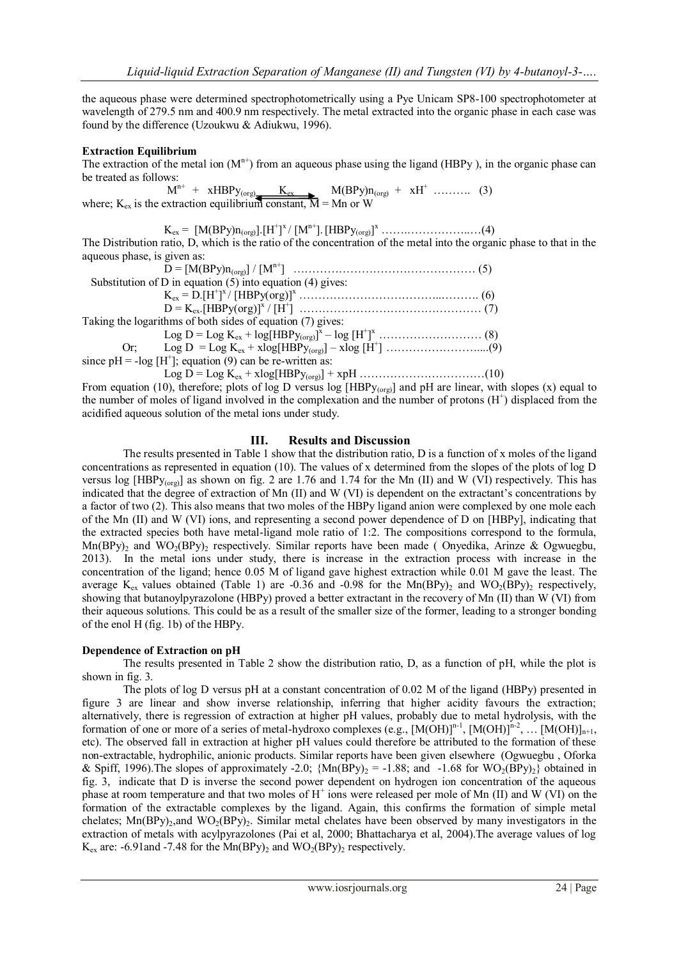the aqueous phase were determined spectrophotometrically using a Pye Unicam SP8-100 spectrophotometer at wavelength of 279.5 nm and 400.9 nm respectively. The metal extracted into the organic phase in each case was found by the difference (Uzoukwu & Adiukwu, 1996).

# **Extraction Equilibrium**

The extraction of the metal ion  $(M<sup>n+</sup>)$  from an aqueous phase using the ligand (HBPy), in the organic phase can be treated as follows:

 M n+ + xHBPy(org) Kex M(BPy)n(org) + xH<sup>+</sup> ………. (3) where;  $K_{ex}$  is the extraction equilibrium constant,  $\overline{M} = Mn$  or W

Kex = [M(BPy)n(org)].[H<sup>+</sup> ] <sup>x</sup>/ [Mn+].[HBPy(org)] <sup>x</sup> …….……………..…(4) The Distribution ratio, D, which is the ratio of the concentration of the metal into the organic phase to that in the aqueous phase, is given as:

D = [M(BPy)n(org)] / [Mn+] ………………………………………… (5) Substitution of D in equation  $(5)$  into equation  $(4)$  gives: Kex = D.[H<sup>+</sup> ] <sup>x</sup>/ [HBPy(org)]<sup>x</sup> ………………………………..………. (6) D = Kex.[HBPy(org)]<sup>x</sup> / [H<sup>+</sup> ] ………………………………………… (7) Taking the logarithms of both sides of equation (7) gives: Log D = Log Kex + log[HBPy(org)] x – log [H<sup>+</sup> ] <sup>x</sup>……………………… (8) Or; Log D = Log Kex + xlog[HBPy(org)] – xlog [H<sup>+</sup> ] ……………………....(9) since  $pH = -log[H^+]$ ; equation (9) can be re-written as: Log D = Log Kex + xlog[HBPy(org)] + xpH ……………………………(10)

From equation (10), therefore; plots of log D versus log [HBP $y_{(org)}$ ] and pH are linear, with slopes (x) equal to the number of moles of ligand involved in the complexation and the number of protons  $(H<sup>+</sup>)$  displaced from the acidified aqueous solution of the metal ions under study.

# **III. Results and Discussion**

The results presented in Table 1 show that the distribution ratio, D is a function of x moles of the ligand concentrations as represented in equation (10). The values of x determined from the slopes of the plots of log D versus log  $[\text{HBPy}_{(org)}]$  as shown on fig. 2 are 1.76 and 1.74 for the Mn (II) and W (VI) respectively. This has indicated that the degree of extraction of Mn (II) and W (VI) is dependent on the extractant's concentrations by a factor of two (2). This also means that two moles of the HBPy ligand anion were complexed by one mole each of the Mn (II) and W (VI) ions, and representing a second power dependence of D on [HBPy], indicating that the extracted species both have metal-ligand mole ratio of 1:2. The compositions correspond to the formula,  $\text{Mn(BPy)}_2$  and  $\text{WO}_2(\text{BPy})_2$  respectively. Similar reports have been made (Onyedika, Arinze & Ogwuegbu, 2013). In the metal ions under study, there is increase in the extraction process with increase in the concentration of the ligand; hence 0.05 M of ligand gave highest extraction while 0.01 M gave the least. The average  $K_{ex}$  values obtained (Table 1) are -0.36 and -0.98 for the Mn(BPy)<sub>2</sub> and WO<sub>2</sub>(BPy)<sub>2</sub> respectively, showing that butanoylpyrazolone (HBPy) proved a better extractant in the recovery of Mn (II) than W (VI) from their aqueous solutions. This could be as a result of the smaller size of the former, leading to a stronger bonding of the enol H (fig. 1b) of the HBPy.

#### **Dependence of Extraction on pH**

The results presented in Table 2 show the distribution ratio, D, as a function of pH, while the plot is shown in fig. 3.

The plots of log D versus pH at a constant concentration of 0.02 M of the ligand (HBPy) presented in figure 3 are linear and show inverse relationship, inferring that higher acidity favours the extraction; alternatively, there is regression of extraction at higher pH values, probably due to metal hydrolysis, with the formation of one or more of a series of metal-hydroxo complexes (e.g.,  $[M(OH)]^{n-1}$ ,  $[M(OH)]^{n-2}$ , ...  $[M(OH)]_{n+1}$ , etc). The observed fall in extraction at higher pH values could therefore be attributed to the formation of these non-extractable, hydrophilic, anionic products. Similar reports have been given elsewhere (Ogwuegbu , Oforka & Spiff, 1996). The slopes of approximately -2.0;  ${Mn(BPy)_2} = -1.88$ ; and  $-1.68$  for WO<sub>2</sub>(BPy)<sub>2</sub>} obtained in fig. 3, indicate that D is inverse the second power dependent on hydrogen ion concentration of the aqueous phase at room temperature and that two moles of H<sup>+</sup> ions were released per mole of Mn (II) and W (VI) on the formation of the extractable complexes by the ligand. Again, this confirms the formation of simple metal chelates;  $\text{Mn(BPy)}_2$ , and  $\text{WO}_2(\text{BPy})_2$ . Similar metal chelates have been observed by many investigators in the extraction of metals with acylpyrazolones (Pai et al, 2000; Bhattacharya et al, 2004).The average values of log  $K_{ex}$  are: -6.91and -7.48 for the Mn(BPy)<sub>2</sub> and WO<sub>2</sub>(BPy)<sub>2</sub> respectively.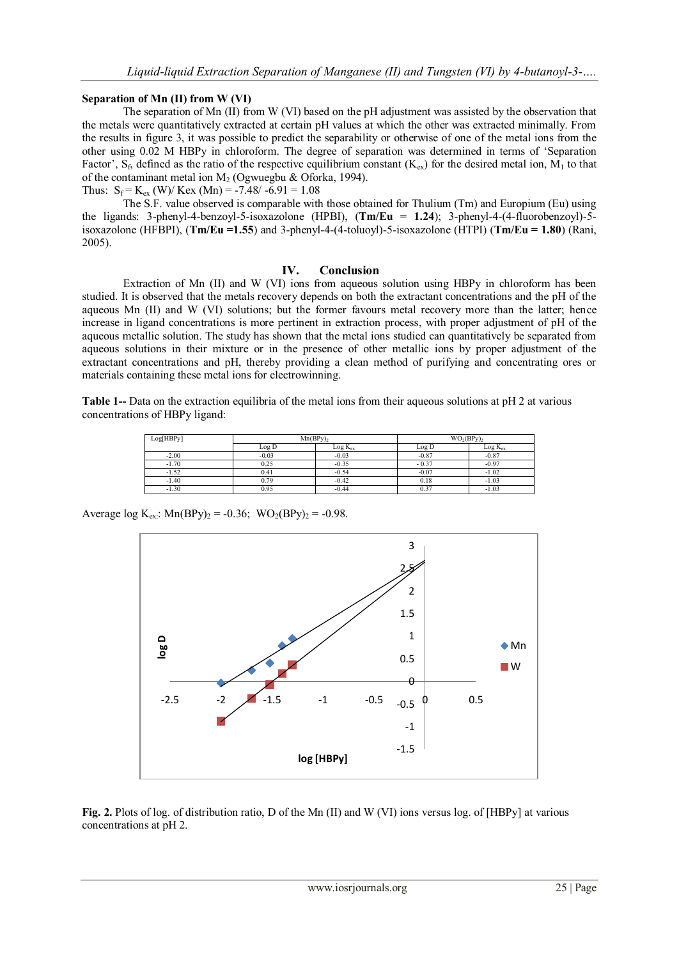#### **Separation of Mn (II) from W (VI)**

The separation of Mn (II) from W (VI) based on the pH adjustment was assisted by the observation that the metals were quantitatively extracted at certain pH values at which the other was extracted minimally. From the results in figure 3, it was possible to predict the separability or otherwise of one of the metal ions from the other using 0.02 M HBPy in chloroform. The degree of separation was determined in terms of 'Separation Factor',  $S_f$ , defined as the ratio of the respective equilibrium constant ( $K_{ex}$ ) for the desired metal ion,  $M_1$  to that of the contaminant metal ion  $M_2$  (Ogwuegbu & Oforka, 1994). Thus:  $S_f = K_{ex}$  (W)/ Kex (Mn) = -7.48/ -6.91 = 1.08

The S.F. value observed is comparable with those obtained for Thulium (Tm) and Europium (Eu) using the ligands: 3-phenyl-4-benzoyl-5-isoxazolone (HPBI), (**Tm/Eu = 1.24**); 3-phenyl-4-(4-fluorobenzoyl)-5 isoxazolone (HFBPI), (**Tm/Eu =1.55**) and 3-phenyl-4-(4-toluoyl)-5-isoxazolone (HTPI) (**Tm/Eu = 1.80**) (Rani, 2005).

#### **IV. Conclusion**

Extraction of Mn (II) and W (VI) ions from aqueous solution using HBPy in chloroform has been studied. It is observed that the metals recovery depends on both the extractant concentrations and the pH of the aqueous Mn (II) and W (VI) solutions; but the former favours metal recovery more than the latter; hence increase in ligand concentrations is more pertinent in extraction process, with proper adjustment of pH of the aqueous metallic solution. The study has shown that the metal ions studied can quantitatively be separated from aqueous solutions in their mixture or in the presence of other metallic ions by proper adjustment of the extractant concentrations and pH, thereby providing a clean method of purifying and concentrating ores or materials containing these metal ions for electrowinning.

**Table 1--** Data on the extraction equilibria of the metal ions from their aqueous solutions at pH 2 at various concentrations of HBPy ligand:

| Log[HBPy] | Mn(BPv) |              | $WO2(BPV)2$ |              |
|-----------|---------|--------------|-------------|--------------|
|           | ∟og D   | $Log K_{ex}$ | Log D       | $Log K_{ex}$ |
| $-2.00$   | $-0.03$ | $-0.03$      | $-0.87$     | $-0.87$      |
| $-1.70$   | 0.25    | $-0.35$      | $-0.37$     | $-0.97$      |
| $-1.52$   | 0.41    | $-0.54$      | $-0.07$     | $-1.02$      |
| $-1.40$   | 0.79    | $-0.42$      | 0.18        | $-1.03$      |
| $-1.30$   | 0.95    | $-0.44$      | 0.37        | $-1.03$      |

Average  $\log K_{\text{ex}}$ : Mn(BPy)<sub>2</sub> = -0.36; WO<sub>2</sub>(BPy)<sub>2</sub> = -0.98.



**Fig. 2.** Plots of log. of distribution ratio, D of the Mn (II) and W (VI) ions versus log. of [HBPy] at various concentrations at pH 2.